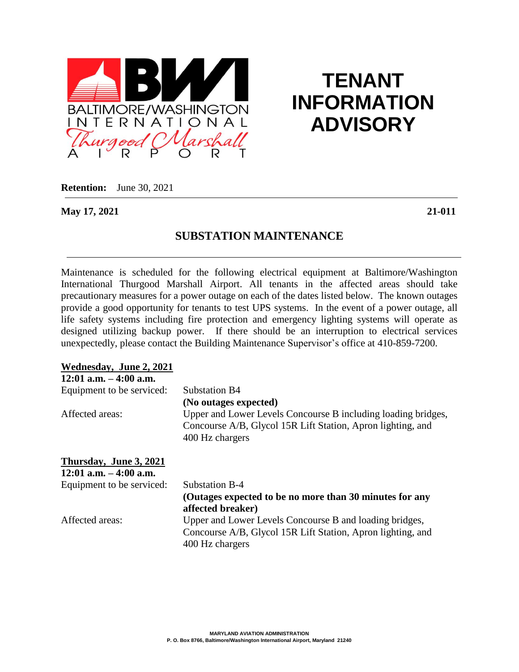

# **TENANT INFORMATION ADVISORY**

**Retention:** June 30, 2021

**May 17, 2021 21-011**

## **SUBSTATION MAINTENANCE**

Maintenance is scheduled for the following electrical equipment at Baltimore/Washington International Thurgood Marshall Airport. All tenants in the affected areas should take precautionary measures for a power outage on each of the dates listed below. The known outages provide a good opportunity for tenants to test UPS systems. In the event of a power outage, all life safety systems including fire protection and emergency lighting systems will operate as designed utilizing backup power. If there should be an interruption to electrical services unexpectedly, please contact the Building Maintenance Supervisor's office at 410-859-7200.

| Wednesday, June 2, 2021                             |                                                                                                                                                 |
|-----------------------------------------------------|-------------------------------------------------------------------------------------------------------------------------------------------------|
| $12:01$ a.m. $-4:00$ a.m.                           |                                                                                                                                                 |
| Equipment to be serviced:                           | Substation B4                                                                                                                                   |
|                                                     | (No outages expected)                                                                                                                           |
| Affected areas:                                     | Upper and Lower Levels Concourse B including loading bridges,<br>Concourse A/B, Glycol 15R Lift Station, Apron lighting, and<br>400 Hz chargers |
| Thursday, June 3, 2021<br>$12:01$ a.m. $-4:00$ a.m. |                                                                                                                                                 |
| Equipment to be serviced:                           | Substation B-4                                                                                                                                  |
|                                                     | (Outages expected to be no more than 30 minutes for any<br>affected breaker)                                                                    |
| Affected areas:                                     | Upper and Lower Levels Concourse B and loading bridges,                                                                                         |
|                                                     | Concourse A/B, Glycol 15R Lift Station, Apron lighting, and<br>400 Hz chargers                                                                  |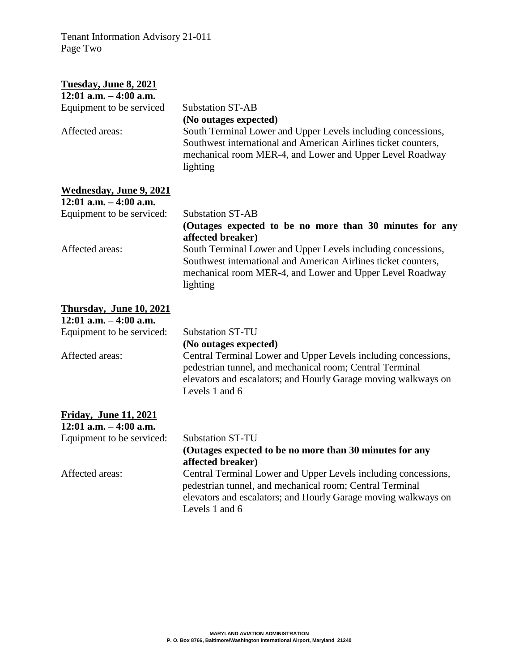Tenant Information Advisory 21-011 Page Two

## **Tuesday, June 8, 2021 12:01 a.m. – 4:00 a.m.** Equipment to be serviced Substation ST-AB **(No outages expected)** Affected areas: South Terminal Lower and Upper Levels including concessions, Southwest international and American Airlines ticket counters, mechanical room MER-4, and Lower and Upper Level Roadway lighting **Wednesday, June 9, 2021 12:01 a.m. – 4:00 a.m.** Equipment to be serviced: Substation ST-AB **(Outages expected to be no more than 30 minutes for any affected breaker)** Affected areas: South Terminal Lower and Upper Levels including concessions, Southwest international and American Airlines ticket counters, mechanical room MER-4, and Lower and Upper Level Roadway lighting **Thursday, June 10, 2021 12:01 a.m. – 4:00 a.m.** Equipment to be serviced: Substation ST-TU **(No outages expected)** Affected areas: Central Terminal Lower and Upper Levels including concessions, pedestrian tunnel, and mechanical room; Central Terminal elevators and escalators; and Hourly Garage moving walkways on Levels 1 and 6 **Friday, June 11, 2021 12:01 a.m. – 4:00 a.m.** Equipment to be serviced: Substation ST-TU **(Outages expected to be no more than 30 minutes for any affected breaker)** Affected areas: Central Terminal Lower and Upper Levels including concessions, pedestrian tunnel, and mechanical room; Central Terminal elevators and escalators; and Hourly Garage moving walkways on Levels 1 and 6